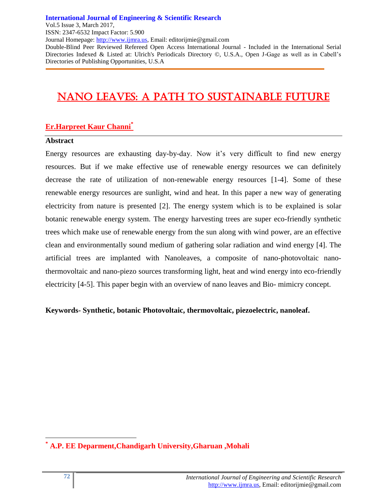**International Journal of Engineering & Scientific Research**

Vol.5 Issue 3, March 2017,

ISSN: 2347-6532 Impact Factor: 5.900

Journal Homepage: http://www.ijmra.us, Email: editorijmie@gmail.com

Double-Blind Peer Reviewed Refereed Open Access International Journal - Included in the International Serial Directories Indexed & Listed at: Ulrich's Periodicals Directory ©, U.S.A., Open J-Gage as well as in Cabell's Directories of Publishing Opportunities, U.S.A

# NANO LEAVES: A PATH TO SUSTAINABLE FUTURE

# **Er.Harpreet Kaur Channi\***

## **Abstract**

Energy resources are exhausting day-by-day. Now it's very difficult to find new energy resources. But if we make effective use of renewable energy resources we can definitely decrease the rate of utilization of non-renewable energy resources [1-4]. Some of these renewable energy resources are sunlight, wind and heat. In this paper a new way of generating electricity from nature is presented [2]. The energy system which is to be explained is solar botanic renewable energy system. The energy harvesting trees are super eco-friendly synthetic trees which make use of renewable energy from the sun along with wind power, are an effective clean and environmentally sound medium of gathering solar radiation and wind energy [4]. The artificial trees are implanted with Nanoleaves, a composite of nano-photovoltaic nanothermovoltaic and nano-piezo sources transforming light, heat and wind energy into eco-friendly electricity [4-5]. This paper begin with an overview of nano leaves and Bio- mimicry concept.

**Keywords- Synthetic, botanic Photovoltaic, thermovoltaic, piezoelectric, nanoleaf.**

 $\overline{a}$ **\* A.P. EE Deparment,Chandigarh University,Gharuan ,Mohali**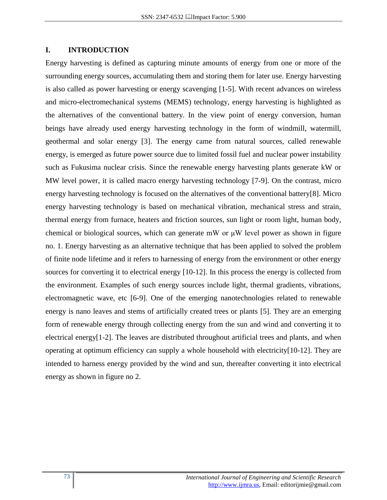## **I. INTRODUCTION**

Energy harvesting is defined as capturing minute amounts of energy from one or more of the surrounding energy sources, accumulating them and storing them for later use. Energy harvesting is also called as power harvesting or energy scavenging [1-5]. With recent advances on wireless and micro-electromechanical systems (MEMS) technology, energy harvesting is highlighted as the alternatives of the conventional battery. In the view point of energy conversion, human beings have already used energy harvesting technology in the form of windmill, watermill, geothermal and solar energy [3]. The energy came from natural sources, called renewable energy, is emerged as future power source due to limited fossil fuel and nuclear power instability such as Fukusima nuclear crisis. Since the renewable energy harvesting plants generate kW or MW level power, it is called macro energy harvesting technology [7-9]. On the contrast, micro energy harvesting technology is focused on the alternatives of the conventional battery[8]. Micro energy harvesting technology is based on mechanical vibration, mechanical stress and strain, thermal energy from furnace, heaters and friction sources, sun light or room light, human body, chemical or biological sources, which can generate mW or  $\mu$ W level power as shown in figure no. 1. Energy harvesting as an alternative technique that has been applied to solved the problem of finite node lifetime and it refers to harnessing of energy from the environment or other energy sources for converting it to electrical energy [10-12]. In this process the energy is collected from the environment. Examples of such energy sources include light, thermal gradients, vibrations, electromagnetic wave, etc [6-9]. One of the emerging nanotechnologies related to renewable energy is nano leaves and stems of artificially created trees or plants [5]. They are an emerging form of renewable energy through collecting energy from the sun and wind and converting it to electrical energy[1-2]. The leaves are distributed throughout artificial trees and plants, and when operating at optimum efficiency can supply a whole household with electricity[10-12]. They are intended to harness energy provided by the wind and sun, thereafter converting it into electrical energy as shown in figure no 2.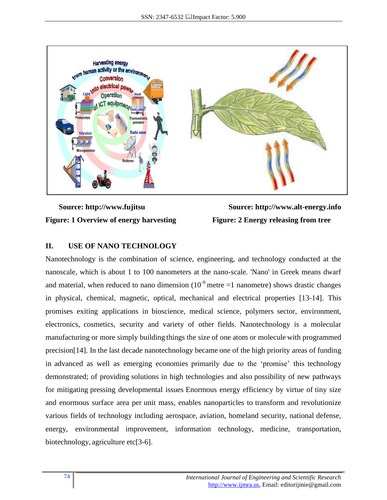

**Figure: 1 Overview of energy harvesting Figure: 2 Energy releasing from tree**

 **Source: http://www.fujitsu Source: http://www.alt-energy.info**

## **II. USE OF NANO TECHNOLOGY**

Nanotechnology is the combination of science, engineering, and technology conducted at the nanoscale, which is about 1 to 100 nanometers at the nano-scale. 'Nano' in Greek means dwarf and material, when reduced to nano dimension  $(10^{-9}$  metre =1 nanometre) shows drastic changes in physical, chemical, magnetic, optical, mechanical and electrical properties [13-14]. This promises exiting applications in bioscience, medical science, polymers sector, environment, electronics, cosmetics, security and variety of other fields. Nanotechnology is a molecular manufacturing or more simply building things the size of one atom or molecule with programmed precision[14]. In the last decade nanotechnology became one of the high priority areas of funding in advanced as well as emerging economies primarily due to the 'promise' this technology demonstrated; of providing solutions in high technologies and also possibility of new pathways for mitigating pressing developmental issues Enormous energy efficiency by virtue of tiny size and enormous surface area per unit mass, enables nanoparticles to transform and revolutionize various fields of technology including aerospace, aviation, homeland security, national defense, energy, environmental improvement, information technology, medicine, transportation, biotechnology, agriculture etc[3-6].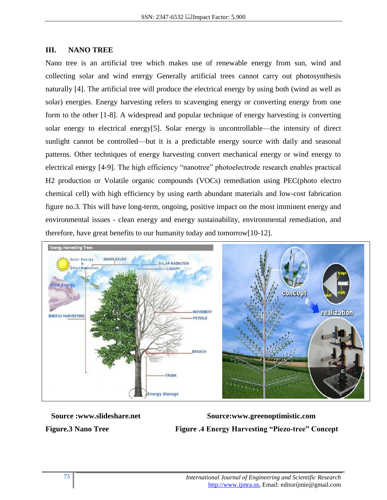#### **III. NANO TREE**

Nano tree is an artificial tree which makes use of renewable energy from sun, wind and collecting solar and wind energy Generally artificial trees cannot carry out photosynthesis naturally [4]. The artificial tree will produce the electrical energy by using both (wind as well as solar) energies. Energy harvesting refers to scavenging energy or converting energy from one form to the other [1-8]. A widespread and popular technique of energy harvesting is converting solar energy to electrical energy[5]. Solar energy is uncontrollable—the intensity of direct sunlight cannot be controlled—but it is a predictable energy source with daily and seasonal patterns. Other techniques of energy harvesting convert mechanical energy or wind energy to electrical energy [4-9]. The high efficiency "nanotree" photoelectrode research enables practical H2 production or Volatile organic compounds (VOCs) remediation using PEC(photo electro chemical cell) with high efficiency by using earth abundant materials and low-cost fabrication figure no.3. This will have long-term, ongoing, positive impact on the most imminent energy and environmental issues - clean energy and energy sustainability, environmental remediation, and therefore, have great benefits to our humanity today and tomorrow[10-12].



Source :www.slideshare.net Source:www.greenoptimistic.com **Figure.3 Nano Tree Figure .4 Energy Harvesting "Piezo-tree" Concept**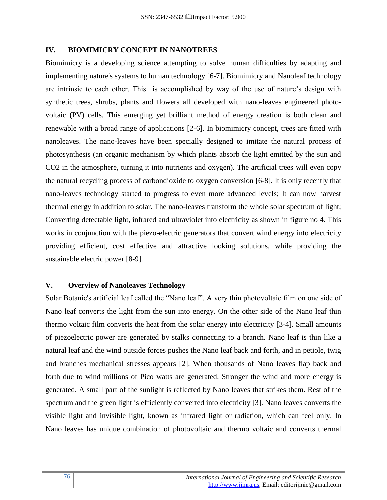#### **IV. BIOMIMICRY CONCEPT IN NANOTREES**

Biomimicry is a developing science attempting to solve human difficulties by adapting and implementing nature's systems to human technology [6-7]. Biomimicry and Nanoleaf technology are intrinsic to each other. This is accomplished by way of the use of nature's design with synthetic trees, shrubs, plants and flowers all developed with nano-leaves engineered photovoltaic (PV) cells. This emerging yet brilliant method of energy creation is both clean and renewable with a broad range of applications [2-6]. In biomimicry concept, trees are fitted with nanoleaves. The nano-leaves have been specially designed to imitate the natural process of photosynthesis (an organic mechanism by which plants absorb the light emitted by the sun and CO2 in the atmosphere, turning it into nutrients and oxygen). The artificial trees will even copy the natural recycling process of carbondioxide to oxygen conversion [6-8]. It is only recently that nano-leaves technology started to progress to even more advanced levels; It can now harvest thermal energy in addition to solar. The nano-leaves transform the whole solar spectrum of light; Converting detectable light, infrared and ultraviolet into electricity as shown in figure no 4. This works in conjunction with the piezo-electric generators that convert wind energy into electricity providing efficient, cost effective and attractive looking solutions, while providing the sustainable electric power [8-9].

#### **V. Overview of Nanoleaves Technology**

Solar Botanic's artificial leaf called the "Nano leaf". A very thin photovoltaic film on one side of Nano leaf converts the light from the sun into energy. On the other side of the Nano leaf thin thermo voltaic film converts the heat from the solar energy into electricity [3-4]. Small amounts of piezoelectric power are generated by stalks connecting to a branch. Nano leaf is thin like a natural leaf and the wind outside forces pushes the Nano leaf back and forth, and in petiole, twig and branches mechanical stresses appears [2]. When thousands of Nano leaves flap back and forth due to wind millions of Pico watts are generated. Stronger the wind and more energy is generated. A small part of the sunlight is reflected by Nano leaves that strikes them. Rest of the spectrum and the green light is efficiently converted into electricity [3]. Nano leaves converts the visible light and invisible light, known as infrared light or radiation, which can feel only. In Nano leaves has unique combination of photovoltaic and thermo voltaic and converts thermal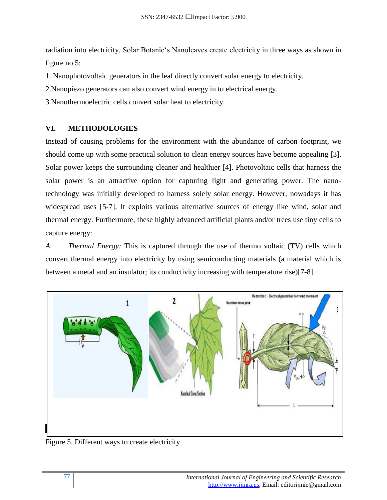radiation into electricity. Solar Botanic's Nanoleaves create electricity in three ways as shown in figure no.5:

- 1. Nanophotovoltaic generators in the leaf directly convert solar energy to electricity.
- 2.Nanopiezo generators can also convert wind energy in to electrical energy.
- 3.Nanothermoelectric cells convert solar heat to electricity.

# **VI. METHODOLOGIES**

Instead of causing problems for the environment with the abundance of carbon footprint, we should come up with some practical solution to clean energy sources have become appealing [3]. Solar power keeps the surrounding cleaner and healthier [4]. Photovoltaic cells that harness the solar power is an attractive option for capturing light and generating power. The nanotechnology was initially developed to harness solely solar energy. However, nowadays it has widespread uses [5-7]. It exploits various alternative sources of energy like wind, solar and thermal energy. Furthermore, these highly advanced artificial plants and/or trees use tiny cells to capture energy:

*A. Thermal Energy:* This is captured through the use of thermo voltaic (TV) cells which convert thermal energy into electricity by using semiconducting materials (a material which is between a metal and an insulator; its conductivity increasing with temperature rise)[7-8].



Figure 5. Different ways to create electricity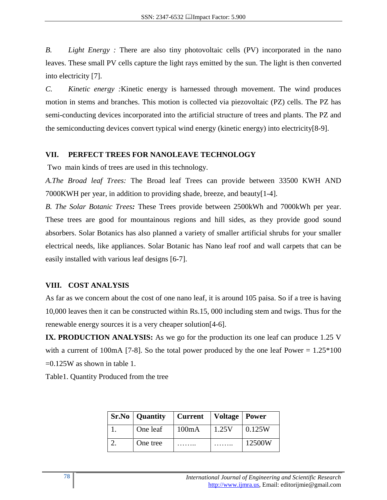*B. Light Energy :* There are also tiny photovoltaic cells (PV) incorporated in the nano leaves. These small PV cells capture the light rays emitted by the sun. The light is then converted into electricity [7].

*C. Kinetic energy :*Kinetic energy is harnessed through movement. The wind produces motion in stems and branches. This motion is collected via piezovoltaic (PZ) cells. The PZ has semi-conducting devices incorporated into the artificial structure of trees and plants. The PZ and the semiconducting devices convert typical wind energy (kinetic energy) into electricity[8-9].

## **VII. PERFECT TREES FOR NANOLEAVE TECHNOLOGY**

Two main kinds of trees are used in this technology.

*A.The Broad leaf Trees:* The Broad leaf Trees can provide between 33500 KWH AND 7000KWH per year, in addition to providing shade, breeze, and beauty[1-4].

*B. The Solar Botanic Trees:* These Trees provide between 2500kWh and 7000kWh per year. These trees are good for mountainous regions and hill sides, as they provide good sound absorbers. Solar Botanics has also planned a variety of smaller artificial shrubs for your smaller electrical needs, like appliances. Solar Botanic has Nano leaf roof and wall carpets that can be easily installed with various leaf designs [6-7].

# **VIII. COST ANALYSIS**

As far as we concern about the cost of one nano leaf, it is around 105 paisa. So if a tree is having 10,000 leaves then it can be constructed within Rs.15, 000 including stem and twigs. Thus for the renewable energy sources it is a very cheaper solution[4-6].

**IX. PRODUCTION ANALYSIS:** As we go for the production its one leaf can produce 1.25 V with a current of 100mA [7-8]. So the total power produced by the one leaf Power =  $1.25*100$  $=0.125W$  as shown in table 1.

Table1. Quantity Produced from the tree

| <b>Sr.No</b>   Quantity | <b>Current</b> | Voltage   Power |        |
|-------------------------|----------------|-----------------|--------|
| One leaf                | 100mA          | 1.25V           | 0.125W |
| One tree                |                |                 | 12500W |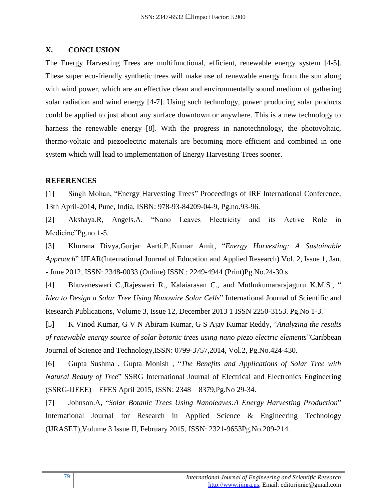#### **X. CONCLUSION**

The Energy Harvesting Trees are multifunctional, efficient, renewable energy system [4-5]. These super eco-friendly synthetic trees will make use of renewable energy from the sun along with wind power, which are an effective clean and environmentally sound medium of gathering solar radiation and wind energy [4-7]. Using such technology, power producing solar products could be applied to just about any surface downtown or anywhere. This is a new technology to harness the renewable energy [8]. With the progress in nanotechnology, the photovoltaic, thermo-voltaic and piezoelectric materials are becoming more efficient and combined in one system which will lead to implementation of Energy Harvesting Trees sooner.

#### **REFERENCES**

[1] Singh Mohan, "Energy Harvesting Trees" Proceedings of IRF International Conference, 13th April-2014, Pune, India, ISBN: 978-93-84209-04-9, Pg.no.93-96.

[2] Akshaya.R, Angels.A, "Nano Leaves Electricity and its Active Role in Medicine"Pg.no.1-5.

[3] Khurana Divya, Gurjar Aarti.P., Kumar Amit, "Energy Harvesting: A Sustainable *Approach*‖ IJEAR(International Journal of Education and Applied Research) Vol. 2, Issue 1, Jan. - June 2012, ISSN: 2348-0033 (Online) ISSN : 2249-4944 (Print)Pg.No.24-30.s

[4] Bhuvaneswari C.,Rajeswari R., Kalaiarasan C., and Muthukumararajaguru K.M.S., " *Idea to Design a Solar Tree Using Nanowire Solar Cells*" International Journal of Scientific and Research Publications, Volume 3, Issue 12, December 2013 1 ISSN 2250-3153. Pg.No 1-3.

[5] K Vinod Kumar, G V N Abiram Kumar, G S Ajay Kumar Reddy, "Analyzing the results" *of renewable energy source of solar botonic trees using nano piezo electric elements*"Caribbean Journal of Science and Technology,ISSN: 0799-3757,2014, Vol.2, Pg.No.424-430.

[6] Gupta Sushma, Gupta Monish, "The Benefits and Applications of Solar Tree with *Natural Beauty of Tree*" SSRG International Journal of Electrical and Electronics Engineering (SSRG-IJEEE) – EFES April 2015, ISSN: 2348 – 8379,Pg.No 29-34.

[7] Johnson.A, "Solar Botanic Trees Using Nanoleaves:A Energy Harvesting Production" International Journal for Research in Applied Science & Engineering Technology (IJRASET),Volume 3 Issue II, February 2015, ISSN: 2321-9653Pg.No.209-214.